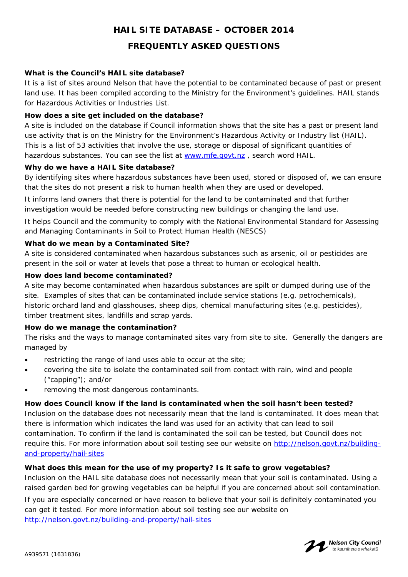# **HAIL SITE DATABASE – OCTOBER 2014**

## **FREQUENTLY ASKED QUESTIONS**

### **What is the Council's HAIL site database?**

It is a list of sites around Nelson that have the potential to be contaminated because of past or present land use. It has been compiled according to the Ministry for the Environment's guidelines. HAIL stands for Hazardous Activities or Industries List.

## **How does a site get included on the database?**

A site is included on the database if Council information shows that the site has a past or present land use activity that is on the Ministry for the Environment's Hazardous Activity or Industry list (HAIL). This is a list of 53 activities that involve the use, storage or disposal of significant quantities of hazardous substances. You can see the list at www.mfe.govt.nz , search word HAIL.

## **Why do we have a HAIL Site database?**

By identifying sites where hazardous substances have been used, stored or disposed of, we can ensure that the sites do not present a risk to human health when they are used or developed.

It informs land owners that there is potential for the land to be contaminated and that further investigation would be needed before constructing new buildings or changing the land use.

It helps Council and the community to comply with the National Environmental Standard for Assessing and Managing Contaminants in Soil to Protect Human Health (NESCS)

#### **What do we mean by a Contaminated Site?**

A site is considered contaminated when hazardous substances such as arsenic, oil or pesticides are present in the soil or water at levels that pose a threat to human or ecological health.

#### **How does land become contaminated?**

A site may become contaminated when hazardous substances are spilt or dumped during use of the site. Examples of sites that can be contaminated include service stations (e.g. petrochemicals), historic orchard land and glasshouses, sheep dips, chemical manufacturing sites (e.g. pesticides), timber treatment sites, landfills and scrap yards.

#### **How do we manage the contamination?**

The risks and the ways to manage contaminated sites vary from site to site. Generally the dangers are managed by

- restricting the range of land uses able to occur at the site;
- covering the site to isolate the contaminated soil from contact with rain, wind and people ("capping"); and/or
- removing the most dangerous contaminants.

#### **How does Council know if the land is contaminated when the soil hasn't been tested?**

Inclusion on the database does not necessarily mean that the land is contaminated. It does mean that there is information which indicates the land was used for an activity that can lead to soil contamination. To confirm if the land is contaminated the soil can be tested, but Council does not require this. For more information about soil testing see our website on http://nelson.govt.nz/buildingand-property/hail-sites

#### **What does this mean for the use of my property? Is it safe to grow vegetables?**

Inclusion on the HAIL site database does not necessarily mean that your soil is contaminated. Using a raised garden bed for growing vegetables can be helpful if you are concerned about soil contamination. If you are especially concerned or have reason to believe that your soil is definitely contaminated you can get it tested. For more information about soil testing see our website on

http://nelson.govt.nz/building-and-property/hail-sites

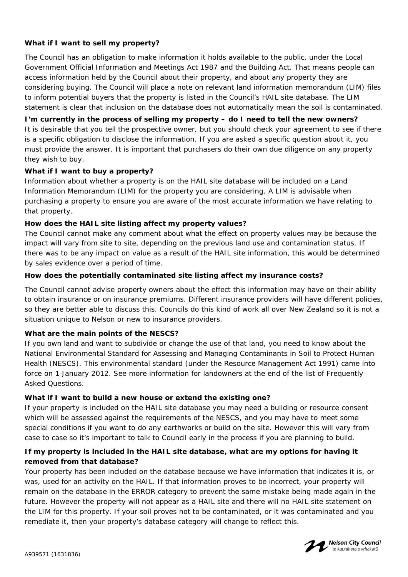## **What if I want to sell my property?**

The Council has an obligation to make information it holds available to the public, under the Local Government Official Information and Meetings Act 1987 and the Building Act. That means people can access information held by the Council about their property, and about any property they are considering buying. The Council will place a note on relevant land information memorandum (LIM) files to inform potential buyers that the property is listed in the Council's HAIL site database. The LIM statement is clear that inclusion on the database does not automatically mean the soil is contaminated.

**I'm currently in the process of selling my property – do I need to tell the new owners?**  It is desirable that you tell the prospective owner, but you should check your agreement to see if there is a specific obligation to disclose the information. If you are asked a specific question about it, you must provide the answer. It is important that purchasers do their own due diligence on any property they wish to buy.

#### **What if I want to buy a property?**

Information about whether a property is on the HAIL site database will be included on a Land Information Memorandum (LIM) for the property you are considering. A LIM is advisable when purchasing a property to ensure you are aware of the most accurate information we have relating to that property.

#### **How does the HAIL site listing affect my property values?**

The Council cannot make any comment about what the effect on property values may be because the impact will vary from site to site, depending on the previous land use and contamination status. If there was to be any impact on value as a result of the HAIL site information, this would be determined by sales evidence over a period of time.

#### **How does the potentially contaminated site listing affect my insurance costs?**

The Council cannot advise property owners about the effect this information may have on their ability to obtain insurance or on insurance premiums. Different insurance providers will have different policies, so they are better able to discuss this. Councils do this kind of work all over New Zealand so it is not a situation unique to Nelson or new to insurance providers.

#### **What are the main points of the NESCS?**

If you own land and want to subdivide or change the use of that land, you need to know about the National Environmental Standard for Assessing and Managing Contaminants in Soil to Protect Human Health (NESCS). This environmental standard (under the Resource Management Act 1991) came into force on 1 January 2012. See more information for landowners at the end of the list of Frequently Asked Questions.

#### **What if I want to build a new house or extend the existing one?**

If your property is included on the HAIL site database you may need a building or resource consent which will be assessed against the requirements of the NESCS, and you may have to meet some special conditions if you want to do any earthworks or build on the site. However this will vary from case to case so it's important to talk to Council early in the process if you are planning to build.

## **If my property is included in the HAIL site database, what are my options for having it removed from that database?**

Your property has been included on the database because we have information that indicates it is, or was, used for an activity on the HAIL. If that information proves to be incorrect, your property will remain on the database in the ERROR category to prevent the same mistake being made again in the future. However the property will not appear as a HAIL site and there will no HAIL site statement on the LIM for this property. If your soil proves not to be contaminated, or it was contaminated and you remediate it, then your property's database category will change to reflect this.